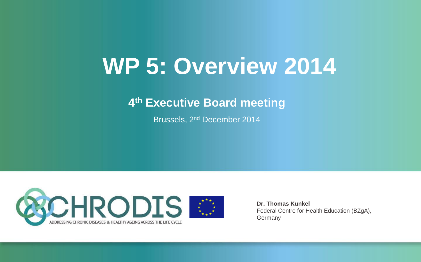# **WP 5: Overview 2014**

#### **4 th Executive Board meeting**

Brussels, 2nd December 2014



**Dr. Thomas Kunkel** Federal Centre for Health Education (BZgA), Germany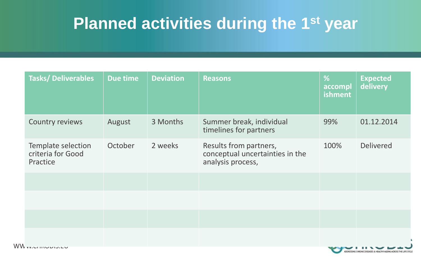### **Planned activities during the 1st year**

| <b>Tasks/Deliverables</b>                           | Due time | <b>Deviation</b> | <b>Reasons</b>                                                                 | %<br>accompl<br>ishment | <b>Expected</b><br>delivery |
|-----------------------------------------------------|----------|------------------|--------------------------------------------------------------------------------|-------------------------|-----------------------------|
| Country reviews                                     | August   | 3 Months         | Summer break, individual<br>timelines for partners                             | 99%                     | 01.12.2014                  |
| Template selection<br>criteria for Good<br>Practice | October  | 2 weeks          | Results from partners,<br>conceptual uncertainties in the<br>analysis process, | 100%                    | <b>Delivered</b>            |
|                                                     |          |                  |                                                                                |                         |                             |
|                                                     |          |                  |                                                                                |                         |                             |
|                                                     |          |                  |                                                                                |                         |                             |
|                                                     |          |                  |                                                                                |                         |                             |

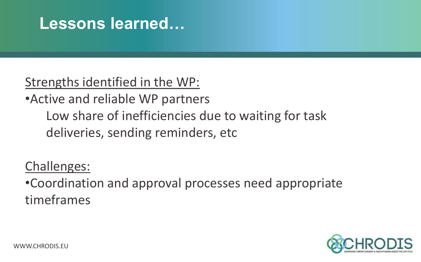### **Lessons learned…**

### Strengths identified in the WP:

•Active and reliable WP partners Low share of inefficiencies due to waiting for task deliveries, sending reminders, etc

### Challenges:

•Coordination and approval processes need appropriate timeframes

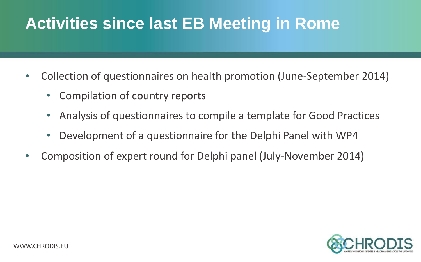## **Activities since last EB Meeting in Rome**

- Collection of questionnaires on health promotion (June-September 2014)
	- Compilation of country reports
	- Analysis of questionnaires to compile a template for Good Practices
	- Development of a questionnaire for the Delphi Panel with WP4
- Composition of expert round for Delphi panel (July-November 2014)

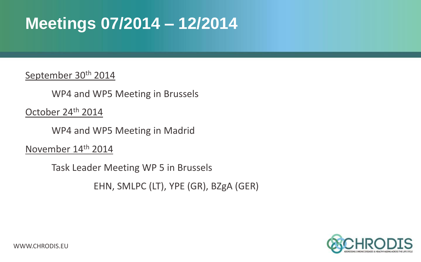### **Meetings 07/2014 – 12/2014**

September 30<sup>th</sup> 2014

WP4 and WP5 Meeting in Brussels

October 24th 2014

WP4 and WP5 Meeting in Madrid

November 14th 2014

Task Leader Meeting WP 5 in Brussels

EHN, SMLPC (LT), YPE (GR), BZgA (GER)

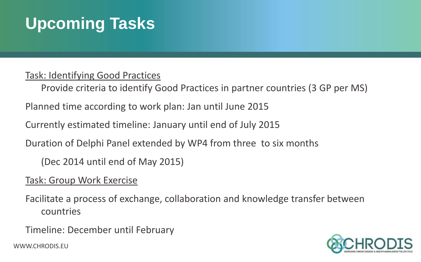# **Upcoming Tasks**

#### Task: Identifying Good Practices

Provide criteria to identify Good Practices in partner countries (3 GP per MS)

Planned time according to work plan: Jan until June 2015

Currently estimated timeline: January until end of July 2015

Duration of Delphi Panel extended by WP4 from three to six months

(Dec 2014 until end of May 2015)

#### Task: Group Work Exercise

Facilitate a process of exchange, collaboration and knowledge transfer between countries

Timeline: December until February

WWW.CHRODIS.EU

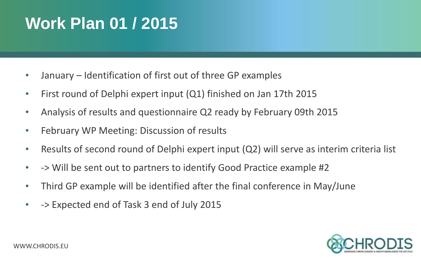### **Work Plan 01 / 2015**

- January Identification of first out of three GP examples
- First round of Delphi expert input (Q1) finished on Jan 17th 2015
- Analysis of results and questionnaire Q2 ready by February 09th 2015
- February WP Meeting: Discussion of results
- Results of second round of Delphi expert input (Q2) will serve as interim criteria list
- -> Will be sent out to partners to identify Good Practice example #2
- Third GP example will be identified after the final conference in May/June
- -> Expected end of Task 3 end of July 2015

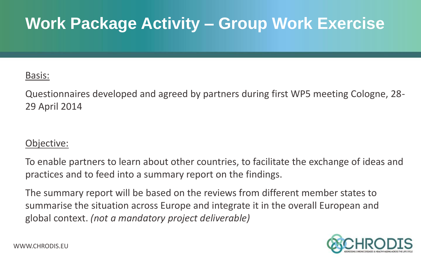## **Work Package Activity – Group Work Exercise**

#### Basis:

Questionnaires developed and agreed by partners during first WP5 meeting Cologne, 28- 29 April 2014

#### Objective:

To enable partners to learn about other countries, to facilitate the exchange of ideas and practices and to feed into a summary report on the findings.

The summary report will be based on the reviews from different member states to summarise the situation across Europe and integrate it in the overall European and global context. *(not a mandatory project deliverable)*

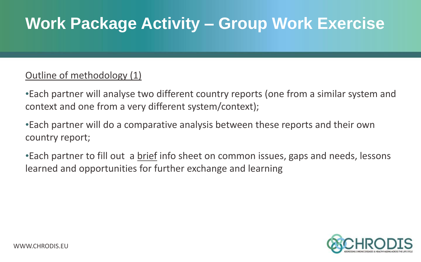### **Work Package Activity – Group Work Exercise**

#### Outline of methodology (1)

•Each partner will analyse two different country reports (one from a similar system and context and one from a very different system/context);

•Each partner will do a comparative analysis between these reports and their own country report;

•Each partner to fill out a brief info sheet on common issues, gaps and needs, lessons learned and opportunities for further exchange and learning

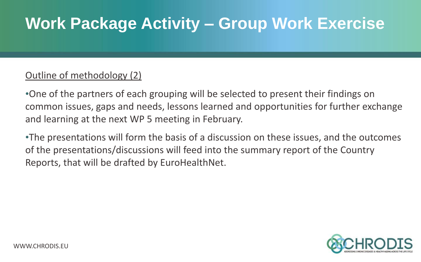### **Work Package Activity – Group Work Exercise**

#### Outline of methodology (2)

•One of the partners of each grouping will be selected to present their findings on common issues, gaps and needs, lessons learned and opportunities for further exchange and learning at the next WP 5 meeting in February.

•The presentations will form the basis of a discussion on these issues, and the outcomes of the presentations/discussions will feed into the summary report of the Country Reports, that will be drafted by EuroHealthNet.

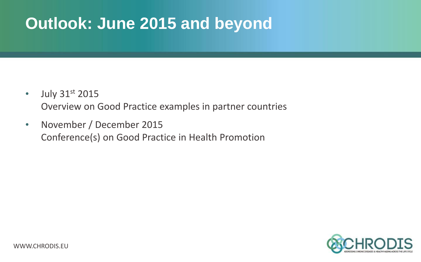### **Outlook: June 2015 and beyond**

- $\cdot$  July 31st 2015 Overview on Good Practice examples in partner countries
- November / December 2015 Conference(s) on Good Practice in Health Promotion